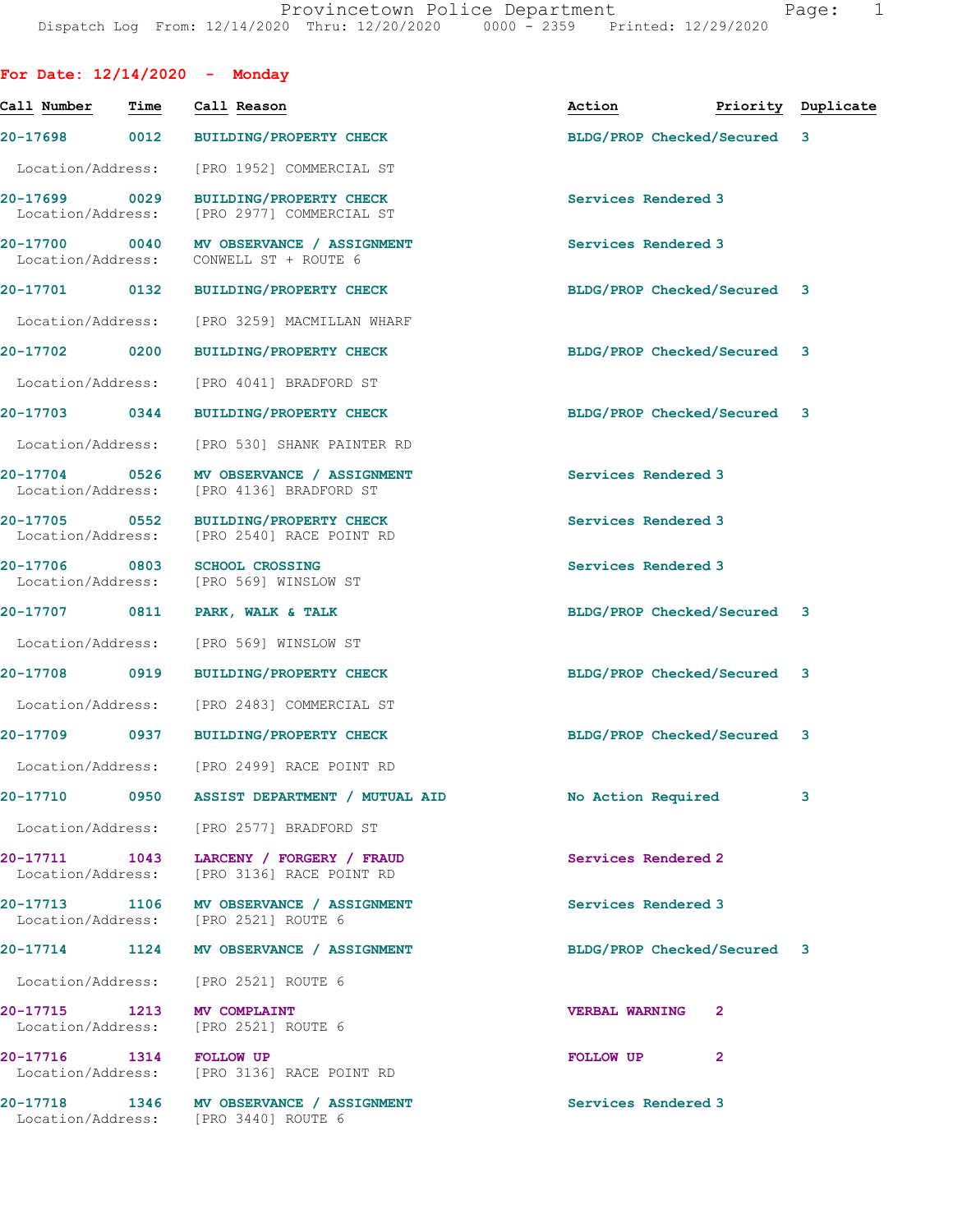| For Date: $12/14/2020$ - Monday    |      |                                                                                  |                             |              |                    |
|------------------------------------|------|----------------------------------------------------------------------------------|-----------------------------|--------------|--------------------|
| Call Number                        | Time | Call Reason                                                                      | Action                      |              | Priority Duplicate |
| 20-17698 0012                      |      | <b>BUILDING/PROPERTY CHECK</b>                                                   | BLDG/PROP Checked/Secured 3 |              |                    |
| Location/Address:                  |      | [PRO 1952] COMMERCIAL ST                                                         |                             |              |                    |
| 20-17699 0029<br>Location/Address: |      | <b>BUILDING/PROPERTY CHECK</b><br>[PRO 2977] COMMERCIAL ST                       | Services Rendered 3         |              |                    |
| 20-17700 0040<br>Location/Address: |      | MV OBSERVANCE / ASSIGNMENT<br>CONWELL ST + ROUTE 6                               | Services Rendered 3         |              |                    |
|                                    |      | 20-17701 0132 BUILDING/PROPERTY CHECK                                            | BLDG/PROP Checked/Secured 3 |              |                    |
| Location/Address:                  |      | [PRO 3259] MACMILLAN WHARF                                                       |                             |              |                    |
| 20-17702                           | 0200 | <b>BUILDING/PROPERTY CHECK</b>                                                   | BLDG/PROP Checked/Secured 3 |              |                    |
| Location/Address:                  |      | [PRO 4041] BRADFORD ST                                                           |                             |              |                    |
|                                    |      | 20-17703 0344 BUILDING/PROPERTY CHECK                                            | BLDG/PROP Checked/Secured 3 |              |                    |
| Location/Address:                  |      | [PRO 530] SHANK PAINTER RD                                                       |                             |              |                    |
| 20-17704 0526<br>Location/Address: |      | MV OBSERVANCE / ASSIGNMENT<br>[PRO 4136] BRADFORD ST                             | Services Rendered 3         |              |                    |
| 20-17705 0552                      |      | BUILDING/PROPERTY CHECK<br>Location/Address: [PRO 2540] RACE POINT RD            | Services Rendered 3         |              |                    |
| 20-17706 0803<br>Location/Address: |      | <b>SCHOOL CROSSING</b><br>[PRO 569] WINSLOW ST                                   | Services Rendered 3         |              |                    |
| 20-17707                           | 0811 | PARK, WALK & TALK                                                                | BLDG/PROP Checked/Secured 3 |              |                    |
| Location/Address:                  |      | [PRO 569] WINSLOW ST                                                             |                             |              |                    |
| 20-17708 0919                      |      | BUILDING/PROPERTY CHECK                                                          | BLDG/PROP Checked/Secured 3 |              |                    |
| Location/Address:                  |      | [PRO 2483] COMMERCIAL ST                                                         |                             |              |                    |
|                                    |      | 20-17709 0937 BUILDING/PROPERTY CHECK                                            | BLDG/PROP Checked/Secured 3 |              |                    |
|                                    |      | Location/Address: [PRO 2499] RACE POINT RD                                       |                             |              |                    |
| <b>20-17710</b>                    |      | 0950 ASSIST DEPARTMENT / MUTUAL AID                                              | No Action Required          |              | 3                  |
|                                    |      | Location/Address: [PRO 2577] BRADFORD ST                                         |                             |              |                    |
| Location/Address:                  |      | 20-17711 1043 LARCENY / FORGERY / FRAUD<br>[PRO 3136] RACE POINT RD              | Services Rendered 2         |              |                    |
|                                    |      | 20-17713 1106 MV OBSERVANCE / ASSIGNMENT<br>Location/Address: [PRO 2521] ROUTE 6 | Services Rendered 3         |              |                    |
|                                    |      | 20-17714 1124 MV OBSERVANCE / ASSIGNMENT                                         | BLDG/PROP Checked/Secured 3 |              |                    |
|                                    |      | Location/Address: [PRO 2521] ROUTE 6                                             |                             |              |                    |
|                                    |      | 20-17715 1213 MV COMPLAINT<br>Location/Address: [PRO 2521] ROUTE 6               | <b>VERBAL WARNING</b>       | 2            |                    |
| 20-17716 1314 FOLLOW UP            |      | Location/Address: [PRO 3136] RACE POINT RD                                       | FOLLOW UP                   | $\mathbf{2}$ |                    |
|                                    |      | 20-17718 1346 MV OBSERVANCE / ASSIGNMENT<br>Location/Address: [PRO 3440] ROUTE 6 | Services Rendered 3         |              |                    |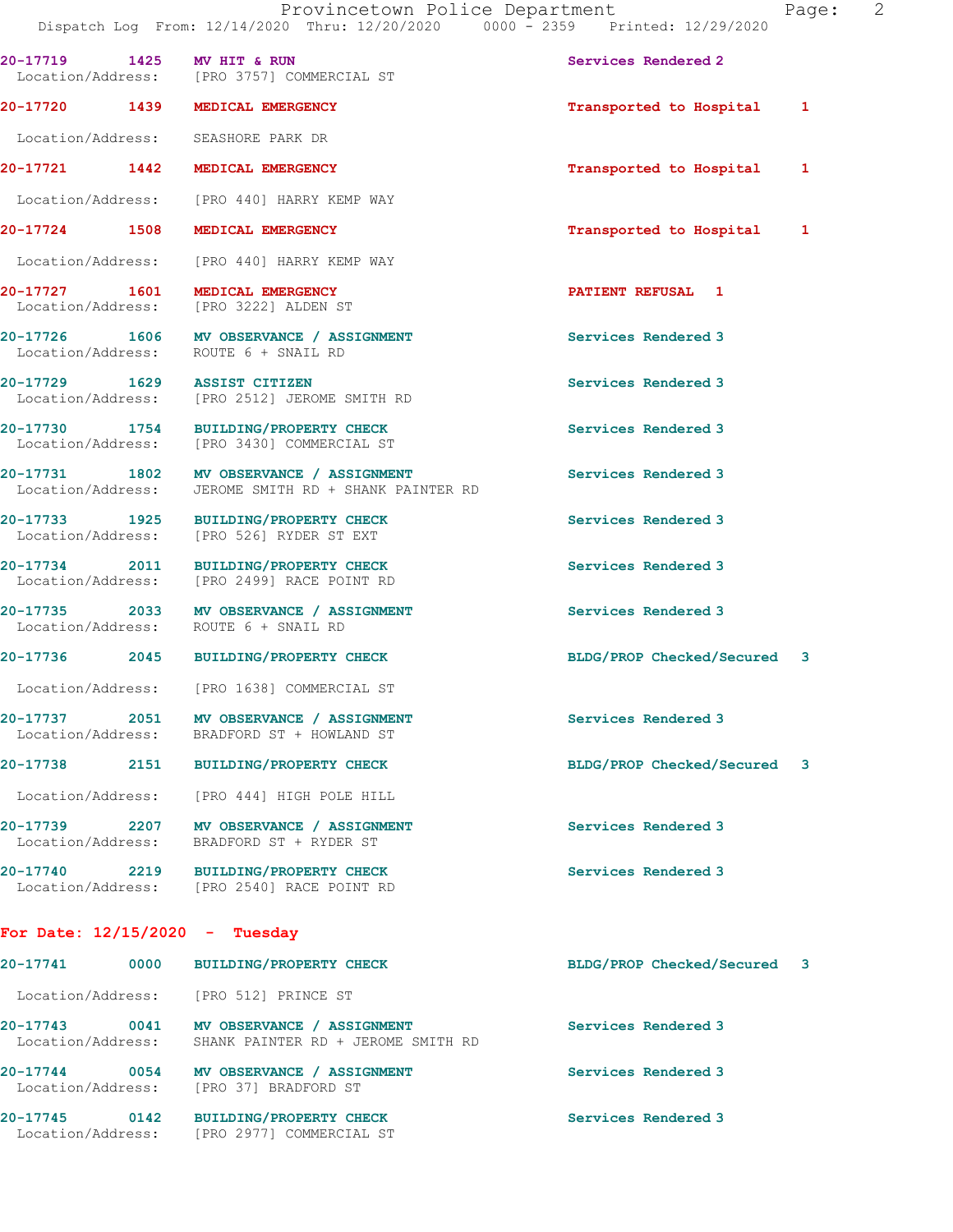|                                  | 20-17719 1425 MV HIT & RUN<br>Location/Address: [PRO 3757] COMMERCIAL ST                         | Services Rendered 2         |  |
|----------------------------------|--------------------------------------------------------------------------------------------------|-----------------------------|--|
|                                  | 20-17720 1439 MEDICAL EMERGENCY                                                                  | Transported to Hospital 1   |  |
|                                  | Location/Address: SEASHORE PARK DR                                                               |                             |  |
|                                  | 20-17721 1442 MEDICAL EMERGENCY                                                                  | Transported to Hospital 1   |  |
|                                  | Location/Address: [PRO 440] HARRY KEMP WAY                                                       |                             |  |
|                                  | 20-17724 1508 MEDICAL EMERGENCY                                                                  | Transported to Hospital 1   |  |
|                                  | Location/Address: [PRO 440] HARRY KEMP WAY                                                       |                             |  |
|                                  | 20-17727 1601 MEDICAL EMERGENCY<br>Location/Address: [PRO 3222] ALDEN ST                         | <b>PATIENT REFUSAL 1</b>    |  |
|                                  | 20-17726 1606 MV OBSERVANCE / ASSIGNMENT<br>Location/Address: ROUTE 6 + SNAIL RD                 | Services Rendered 3         |  |
| 20-17729 1629 ASSIST CITIZEN     | Location/Address: [PRO 2512] JEROME SMITH RD                                                     | Services Rendered 3         |  |
|                                  | 20-17730 1754 BUILDING/PROPERTY CHECK<br>Location/Address: [PRO 3430] COMMERCIAL ST              | Services Rendered 3         |  |
|                                  | 20-17731 1802 MV OBSERVANCE / ASSIGNMENT<br>Location/Address: JEROME SMITH RD + SHANK PAINTER RD | Services Rendered 3         |  |
|                                  | 20-17733 1925 BUILDING/PROPERTY CHECK<br>Location/Address: [PRO 526] RYDER ST EXT                | Services Rendered 3         |  |
|                                  | 20-17734 2011 BUILDING/PROPERTY CHECK<br>Location/Address: [PRO 2499] RACE POINT RD              | Services Rendered 3         |  |
|                                  | 20-17735 2033 MV OBSERVANCE / ASSIGNMENT<br>Location/Address: ROUTE 6 + SNAIL RD                 | Services Rendered 3         |  |
|                                  | 20-17736 2045 BUILDING/PROPERTY CHECK                                                            | BLDG/PROP Checked/Secured 3 |  |
|                                  | Location/Address: [PRO 1638] COMMERCIAL ST                                                       |                             |  |
|                                  | 20-17737 2051 MV OBSERVANCE / ASSIGNMENT<br>Location/Address: BRADFORD ST + HOWLAND ST           | Services Rendered 3         |  |
| 20-17738                         | 2151 BUILDING/PROPERTY CHECK                                                                     | BLDG/PROP Checked/Secured 3 |  |
|                                  | Location/Address: [PRO 444] HIGH POLE HILL                                                       |                             |  |
|                                  | 20-17739 2207 MV OBSERVANCE / ASSIGNMENT<br>Location/Address: BRADFORD ST + RYDER ST             | Services Rendered 3         |  |
|                                  | 20-17740 2219 BUILDING/PROPERTY CHECK<br>Location/Address: [PRO 2540] RACE POINT RD              | Services Rendered 3         |  |
| For Date: $12/15/2020 -$ Tuesday |                                                                                                  |                             |  |
| 20-17741                         | 0000 BUILDING/PROPERTY CHECK                                                                     | BLDG/PROP Checked/Secured 3 |  |
|                                  | Location/Address: [PRO 512] PRINCE ST                                                            |                             |  |

20-17743 0041 MV OBSERVANCE / ASSIGNMENT Services Rendered 3 Location/Address: SHANK PAINTER RD + JEROME SMITH RD

20-17744 0054 MV OBSERVANCE / ASSIGNMENT **Services Rendered 3** Location/Address: [PRO 37] BRADFORD ST

Location/Address: [PRO 2977] COMMERCIAL ST

**20-17745 0142 BUILDING/PROPERTY CHECK Services Rendered 3**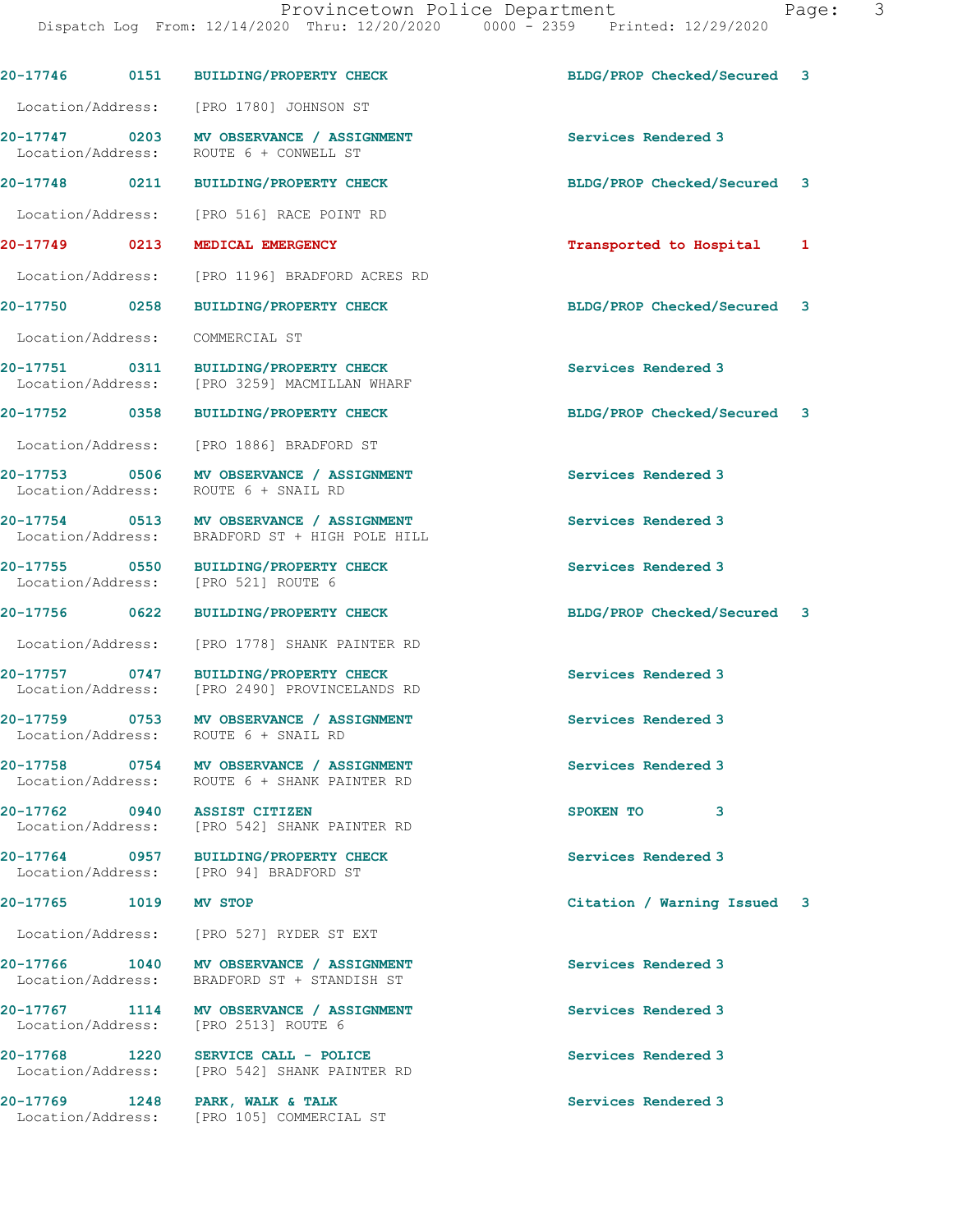|                       | 20-17746 0151 BUILDING/PROPERTY CHECK                                                      | BLDG/PROP Checked/Secured 3 |   |
|-----------------------|--------------------------------------------------------------------------------------------|-----------------------------|---|
|                       | Location/Address: [PRO 1780] JOHNSON ST                                                    |                             |   |
|                       | 20-17747 0203 MV OBSERVANCE / ASSIGNMENT<br>Location/Address: ROUTE 6 + CONWELL ST         | Services Rendered 3         |   |
| 20-17748 0211         | <b>BUILDING/PROPERTY CHECK</b>                                                             | BLDG/PROP Checked/Secured   | 3 |
|                       | Location/Address: [PRO 516] RACE POINT RD                                                  |                             |   |
| 20-17749 0213         | MEDICAL EMERGENCY                                                                          | Transported to Hospital     | 1 |
| Location/Address:     | [PRO 1196] BRADFORD ACRES RD                                                               |                             |   |
| 20-17750 0258         | <b>BUILDING/PROPERTY CHECK</b>                                                             | BLDG/PROP Checked/Secured   | 3 |
| Location/Address:     | COMMERCIAL ST                                                                              |                             |   |
|                       | 20-17751 0311 BUILDING/PROPERTY CHECK<br>Location/Address: [PRO 3259] MACMILLAN WHARF      | Services Rendered 3         |   |
| 20-17752 0358         | <b>BUILDING/PROPERTY CHECK</b>                                                             | BLDG/PROP Checked/Secured 3 |   |
| Location/Address:     | [PRO 1886] BRADFORD ST                                                                     |                             |   |
|                       | 20-17753 0506 MV OBSERVANCE / ASSIGNMENT<br>Location/Address: ROUTE 6 + SNAIL RD           | Services Rendered 3         |   |
|                       | 20-17754 0513 MV OBSERVANCE / ASSIGNMENT<br>Location/Address: BRADFORD ST + HIGH POLE HILL | Services Rendered 3         |   |
|                       | 20-17755 0550 BUILDING/PROPERTY CHECK<br>Location/Address: [PRO 521] ROUTE 6               | Services Rendered 3         |   |
| 20-17756 0622         | <b>BUILDING/PROPERTY CHECK</b>                                                             | BLDG/PROP Checked/Secured 3 |   |
| Location/Address:     | [PRO 1778] SHANK PAINTER RD                                                                |                             |   |
| 20-17757 0747         | BUILDING/PROPERTY CHECK<br>Location/Address: [PRO 2490] PROVINCELANDS RD                   | Services Rendered 3         |   |
|                       | 20-17759 0753 MV OBSERVANCE / ASSIGNMENT<br>Location/Address: ROUTE 6 + SNAIL RD           | Services Rendered 3         |   |
|                       | 20-17758 0754 MV OBSERVANCE / ASSIGNMENT<br>Location/Address: ROUTE 6 + SHANK PAINTER RD   | Services Rendered 3         |   |
|                       | 20-17762 0940 ASSIST CITIZEN<br>Location/Address: [PRO 542] SHANK PAINTER RD               | SPOKEN TO<br>3              |   |
|                       | 20-17764 0957 BUILDING/PROPERTY CHECK<br>Location/Address: [PRO 94] BRADFORD ST            | Services Rendered 3         |   |
| 20-17765 1019 MV STOP |                                                                                            | Citation / Warning Issued   | 3 |
|                       | Location/Address: [PRO 527] RYDER ST EXT                                                   |                             |   |
|                       | 20-17766 1040 MV OBSERVANCE / ASSIGNMENT<br>Location/Address: BRADFORD ST + STANDISH ST    | Services Rendered 3         |   |
|                       | 20-17767 1114 MV OBSERVANCE / ASSIGNMENT<br>Location/Address: [PRO 2513] ROUTE 6           | Services Rendered 3         |   |
|                       | 20-17768 1220 SERVICE CALL - POLICE<br>Location/Address: [PRO 542] SHANK PAINTER RD        | Services Rendered 3         |   |
| 20-17769 1248         | PARK, WALK & TALK<br>Location/Address: [PRO 105] COMMERCIAL ST                             | Services Rendered 3         |   |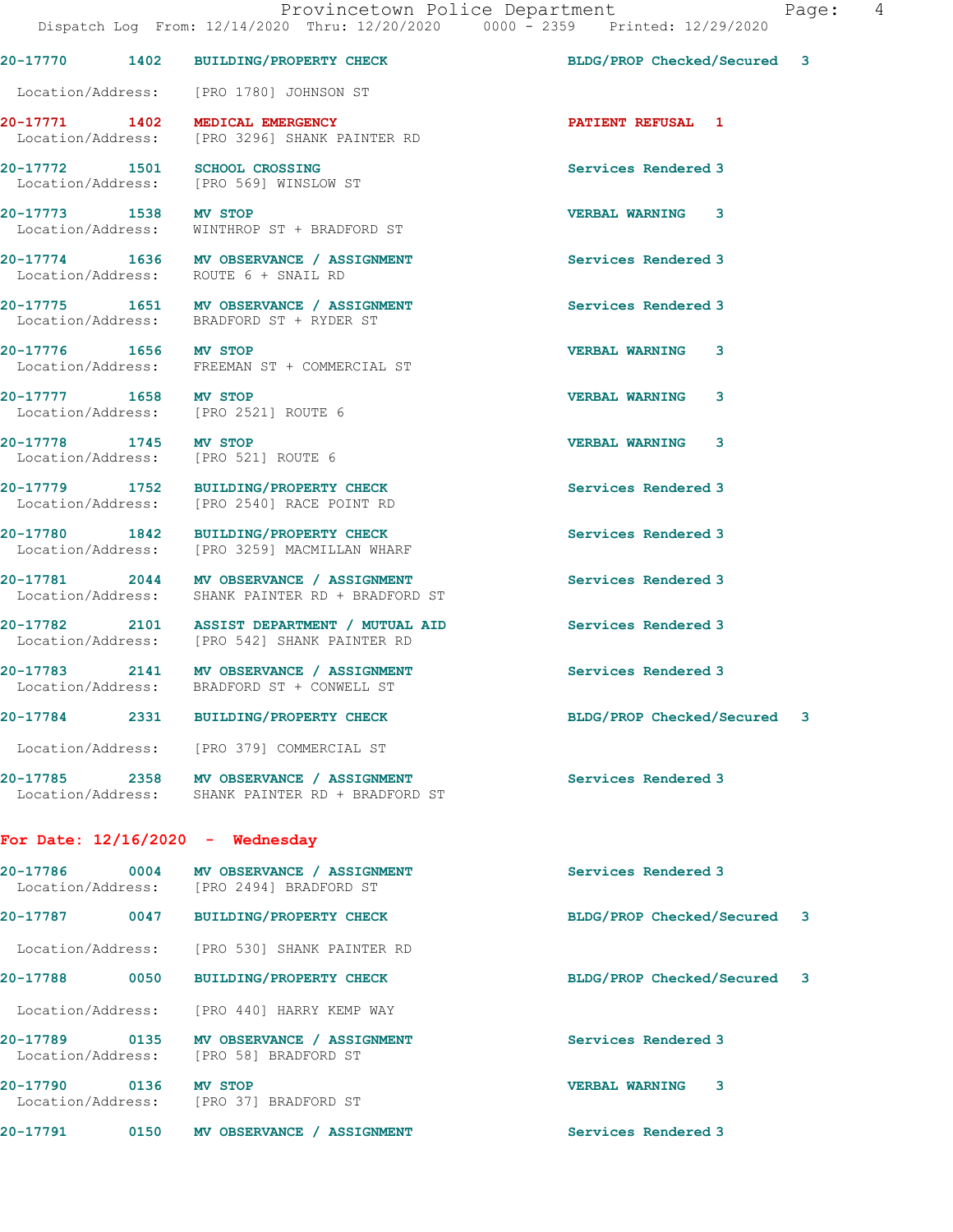|                       |                                                                                              | Dispatch Log From: 12/14/2020 Thru: 12/20/2020 0000 - 2359 Printed: 12/29/2020 |  |
|-----------------------|----------------------------------------------------------------------------------------------|--------------------------------------------------------------------------------|--|
|                       | 20-17770 1402 BUILDING/PROPERTY CHECK                                                        | BLDG/PROP Checked/Secured 3                                                    |  |
|                       | Location/Address: [PRO 1780] JOHNSON ST                                                      |                                                                                |  |
|                       | 20-17771 1402 MEDICAL EMERGENCY<br>Location/Address: [PRO 3296] SHANK PAINTER RD             | <b>PATIENT REFUSAL 1</b>                                                       |  |
|                       | 20-17772 1501 SCHOOL CROSSING<br>Location/Address: [PRO 569] WINSLOW ST                      | Services Rendered 3                                                            |  |
|                       | 20-17773 1538 MV STOP<br>Location/Address: WINTHROP ST + BRADFORD ST                         | <b>VERBAL WARNING 3</b>                                                        |  |
|                       | 20-17774 1636 MV OBSERVANCE / ASSIGNMENT<br>Location/Address: ROUTE 6 + SNAIL RD             | Services Rendered 3                                                            |  |
|                       | 20-17775 1651 MV OBSERVANCE / ASSIGNMENT<br>Location/Address: BRADFORD ST + RYDER ST         | Services Rendered 3                                                            |  |
| 20-17776 1656 MV STOP | Location/Address: FREEMAN ST + COMMERCIAL ST                                                 | <b>VERBAL WARNING 3</b>                                                        |  |
| 20-17777 1658 MV STOP | Location/Address: [PRO 2521] ROUTE 6                                                         | <b>VERBAL WARNING</b><br>3                                                     |  |
| 20-17778 1745 MV STOP | Location/Address: [PRO 521] ROUTE 6                                                          | VERBAL WARNING 3                                                               |  |
|                       | 20-17779 1752 BUILDING/PROPERTY CHECK<br>Location/Address: [PRO 2540] RACE POINT RD          | Services Rendered 3                                                            |  |
|                       | 20-17780 1842 BUILDING/PROPERTY CHECK<br>Location/Address: [PRO 3259] MACMILLAN WHARF        | Services Rendered 3                                                            |  |
|                       | 20-17781 2044 MV OBSERVANCE / ASSIGNMENT<br>Location/Address: SHANK PAINTER RD + BRADFORD ST | Services Rendered 3                                                            |  |
|                       | 20-17782 2101 ASSIST DEPARTMENT / MUTUAL AID<br>Location/Address: [PRO 542] SHANK PAINTER RD | Services Rendered 3                                                            |  |
|                       | 20-17783 2141 MV OBSERVANCE / ASSIGNMENT<br>Location/Address: BRADFORD ST + CONWELL ST       | Services Rendered 3                                                            |  |
|                       | 20-17784 2331 BUILDING/PROPERTY CHECK                                                        | BLDG/PROP Checked/Secured 3                                                    |  |
|                       | Location/Address: [PRO 379] COMMERCIAL ST                                                    |                                                                                |  |
|                       | 20-17785 2358 MV OBSERVANCE / ASSIGNMENT<br>Location/Address: SHANK PAINTER RD + BRADFORD ST | Services Rendered 3                                                            |  |
|                       | For Date: $12/16/2020 -$ Wednesday                                                           |                                                                                |  |
|                       | 20-17786 0004 MV OBSERVANCE / ASSIGNMENT<br>Location/Address: [PRO 2494] BRADFORD ST         | Services Rendered 3                                                            |  |
|                       | 20-17787 0047 BUILDING/PROPERTY CHECK                                                        | BLDG/PROP Checked/Secured 3                                                    |  |
|                       | Location/Address: [PRO 530] SHANK PAINTER RD                                                 |                                                                                |  |
|                       | 20-17788 0050 BUILDING/PROPERTY CHECK                                                        | BLDG/PROP Checked/Secured 3                                                    |  |
|                       | Location/Address: [PRO 440] HARRY KEMP WAY                                                   |                                                                                |  |
|                       | 20-17789 0135 MV OBSERVANCE / ASSIGNMENT<br>Location/Address: [PRO 58] BRADFORD ST           | Services Rendered 3                                                            |  |
|                       | 20-17790 0136 MV STOP<br>Location/Address: [PRO 37] BRADFORD ST                              | <b>VERBAL WARNING 3</b>                                                        |  |
|                       | 20-17791 0150 MV OBSERVANCE / ASSIGNMENT                                                     | <b>Services Rendered 3</b>                                                     |  |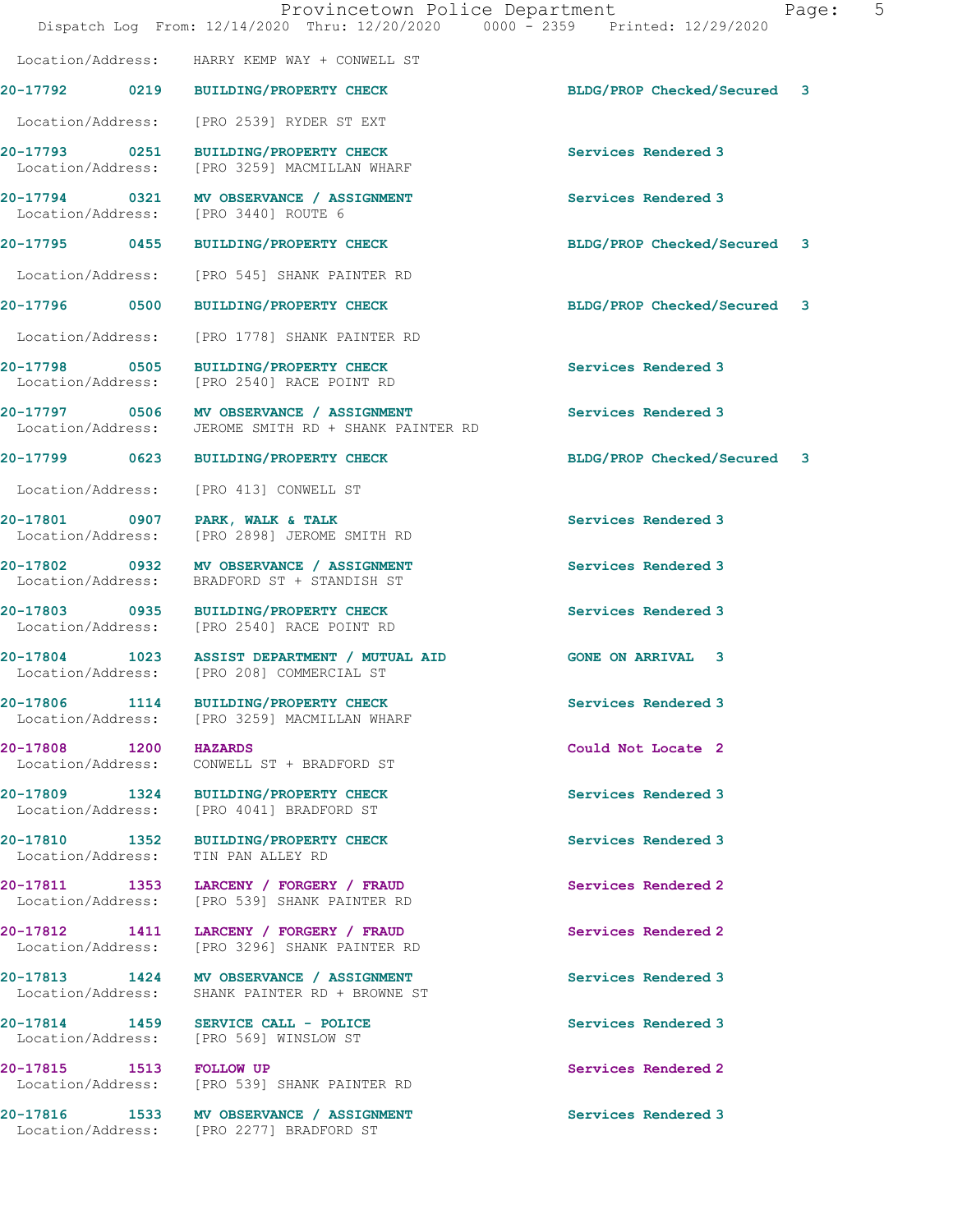|                                        | Provincetown Police Department<br>Dispatch Log From: 12/14/2020 Thru: 12/20/2020 0000 - 2359 Printed: 12/29/2020 |                             | Page: | 5 |
|----------------------------------------|------------------------------------------------------------------------------------------------------------------|-----------------------------|-------|---|
|                                        | Location/Address: HARRY KEMP WAY + CONWELL ST                                                                    |                             |       |   |
|                                        | 20-17792 0219 BUILDING/PROPERTY CHECK                                                                            | BLDG/PROP Checked/Secured 3 |       |   |
|                                        | Location/Address: [PRO 2539] RYDER ST EXT                                                                        |                             |       |   |
|                                        | 20-17793 0251 BUILDING/PROPERTY CHECK<br>Location/Address: [PRO 3259] MACMILLAN WHARF                            | Services Rendered 3         |       |   |
|                                        | 20-17794 0321 MV OBSERVANCE / ASSIGNMENT<br>Location/Address: [PRO 3440] ROUTE 6                                 | Services Rendered 3         |       |   |
|                                        | 20-17795 0455 BUILDING/PROPERTY CHECK                                                                            | BLDG/PROP Checked/Secured 3 |       |   |
|                                        | Location/Address: [PRO 545] SHANK PAINTER RD                                                                     |                             |       |   |
|                                        | 20-17796 0500 BUILDING/PROPERTY CHECK                                                                            | BLDG/PROP Checked/Secured 3 |       |   |
| Location/Address:                      | [PRO 1778] SHANK PAINTER RD                                                                                      |                             |       |   |
|                                        | 20-17798 0505 BUILDING/PROPERTY CHECK<br>Location/Address: [PRO 2540] RACE POINT RD                              | Services Rendered 3         |       |   |
|                                        | 20-17797 0506 MV OBSERVANCE / ASSIGNMENT<br>Location/Address: JEROME SMITH RD + SHANK PAINTER RD                 | Services Rendered 3         |       |   |
|                                        | 20-17799 0623 BUILDING/PROPERTY CHECK                                                                            | BLDG/PROP Checked/Secured 3 |       |   |
| Location/Address:                      | [PRO 413] CONWELL ST                                                                                             |                             |       |   |
| 20-17801 0907<br>Location/Address:     | PARK, WALK & TALK<br>[PRO 2898] JEROME SMITH RD                                                                  | Services Rendered 3         |       |   |
| Location/Address:                      | 20-17802 0932 MV OBSERVANCE / ASSIGNMENT<br>BRADFORD ST + STANDISH ST                                            | Services Rendered 3         |       |   |
|                                        | 20-17803 0935 BUILDING/PROPERTY CHECK<br>Location/Address: [PRO 2540] RACE POINT RD                              | Services Rendered 3         |       |   |
|                                        | 20-17804 1023 ASSIST DEPARTMENT / MUTUAL AID<br>Location/Address: [PRO 208] COMMERCIAL ST                        | <b>GONE ON ARRIVAL 3</b>    |       |   |
|                                        | 20-17806 1114 BUILDING/PROPERTY CHECK<br>Location/Address: [PRO 3259] MACMILLAN WHARF                            | Services Rendered 3         |       |   |
| 20-17808 1200 HAZARDS                  | Location/Address: CONWELL ST + BRADFORD ST                                                                       | Could Not Locate 2          |       |   |
|                                        | 20-17809 1324 BUILDING/PROPERTY CHECK<br>Location/Address: [PRO 4041] BRADFORD ST                                | Services Rendered 3         |       |   |
| Location/Address:                      | 20-17810 1352 BUILDING/PROPERTY CHECK<br>TIN PAN ALLEY RD                                                        | Services Rendered 3         |       |   |
|                                        | 20-17811 1353 LARCENY / FORGERY / FRAUD<br>Location/Address: [PRO 539] SHANK PAINTER RD                          | Services Rendered 2         |       |   |
| Location/Address:                      | 20-17812 1411 LARCENY / FORGERY / FRAUD<br>[PRO 3296] SHANK PAINTER RD                                           | Services Rendered 2         |       |   |
| Location/Address:                      | 20-17813 1424 MV OBSERVANCE / ASSIGNMENT<br>SHANK PAINTER RD + BROWNE ST                                         | Services Rendered 3         |       |   |
| Location/Address: [PRO 569] WINSLOW ST | 20-17814 1459 SERVICE CALL - POLICE                                                                              | Services Rendered 3         |       |   |
| 20-17815 1513 FOLLOW UP                | Location/Address: [PRO 539] SHANK PAINTER RD                                                                     | Services Rendered 2         |       |   |
|                                        | 20-17816 1533 MV OBSERVANCE / ASSIGNMENT<br>Location/Address: [PRO 2277] BRADFORD ST                             | Services Rendered 3         |       |   |
|                                        |                                                                                                                  |                             |       |   |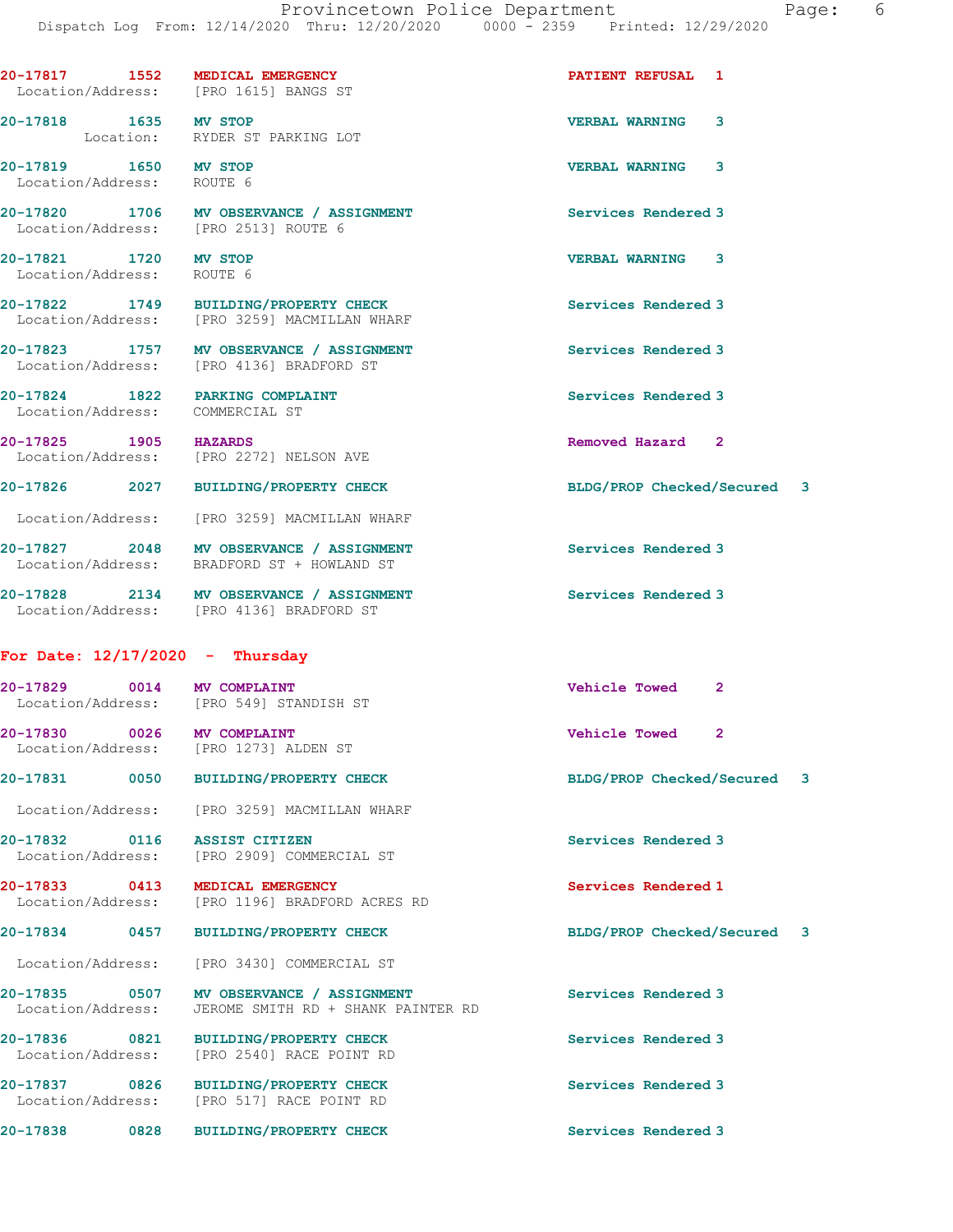|                                                    |      | 20-17817 1552 MEDICAL EMERGENCY<br>Location/Address: [PRO 1615] BANGS ST               | PATIENT REFUSAL 1           |              |  |
|----------------------------------------------------|------|----------------------------------------------------------------------------------------|-----------------------------|--------------|--|
| 20-17818 1635 MV STOP                              |      | Location: RYDER ST PARKING LOT                                                         | <b>VERBAL WARNING</b>       | 3            |  |
| 20-17819 1650 MV STOP<br>Location/Address: ROUTE 6 |      |                                                                                        | VERBAL WARNING 3            |              |  |
|                                                    |      | 20-17820 1706 MV OBSERVANCE / ASSIGNMENT<br>Location/Address: [PRO 2513] ROUTE 6       | Services Rendered 3         |              |  |
| 20-17821 1720 MV STOP<br>Location/Address: ROUTE 6 |      |                                                                                        | <b>VERBAL WARNING 3</b>     |              |  |
|                                                    |      | 20-17822 1749 BUILDING/PROPERTY CHECK<br>Location/Address: [PRO 3259] MACMILLAN WHARF  | Services Rendered 3         |              |  |
|                                                    |      | 20-17823 1757 MV OBSERVANCE / ASSIGNMENT<br>Location/Address: [PRO 4136] BRADFORD ST   | Services Rendered 3         |              |  |
| Location/Address: COMMERCIAL ST                    |      | 20-17824 1822 PARKING COMPLAINT                                                        | Services Rendered 3         |              |  |
| 20-17825 1905 HAZARDS                              |      | Location/Address: [PRO 2272] NELSON AVE                                                | Removed Hazard 2            |              |  |
|                                                    |      | 20-17826 2027 BUILDING/PROPERTY CHECK                                                  | BLDG/PROP Checked/Secured 3 |              |  |
|                                                    |      | Location/Address: [PRO 3259] MACMILLAN WHARF                                           |                             |              |  |
|                                                    |      | 20-17827 2048 MV OBSERVANCE / ASSIGNMENT<br>Location/Address: BRADFORD ST + HOWLAND ST | Services Rendered 3         |              |  |
|                                                    |      | 20-17828 2134 MV OBSERVANCE / ASSIGNMENT<br>Location/Address: [PRO 4136] BRADFORD ST   | Services Rendered 3         |              |  |
| For Date: $12/17/2020$ - Thursday                  |      |                                                                                        |                             |              |  |
| 20-17829 0014 MV COMPLAINT                         |      | Location/Address: [PRO 549] STANDISH ST                                                | <b>Vehicle Towed</b>        | $\mathbf{2}$ |  |
| 20-17830 0026 MV COMPLAINT                         |      | Location/Address: [PRO 1273] ALDEN ST                                                  | <b>Vehicle Towed</b>        | $\mathbf{2}$ |  |
|                                                    |      | 20-17831 0050 BUILDING/PROPERTY CHECK                                                  | BLDG/PROP Checked/Secured 3 |              |  |
|                                                    |      | Location/Address: [PRO 3259] MACMILLAN WHARF                                           |                             |              |  |
|                                                    |      | 20-17832 0116 ASSIST CITIZEN<br>Location/Address: [PRO 2909] COMMERCIAL ST             | Services Rendered 3         |              |  |
| 20-17833 0413<br>Location/Address:                 |      | MEDICAL EMERGENCY<br>[PRO 1196] BRADFORD ACRES RD                                      | Services Rendered 1         |              |  |
| 20-17834                                           | 0457 | <b>BUILDING/PROPERTY CHECK</b>                                                         | BLDG/PROP Checked/Secured 3 |              |  |
| Location/Address:                                  |      | [PRO 3430] COMMERCIAL ST                                                               |                             |              |  |
| 20-17835 0507<br>Location/Address:                 |      | MV OBSERVANCE / ASSIGNMENT<br>JEROME SMITH RD + SHANK PAINTER RD                       | Services Rendered 3         |              |  |
| 20-17836 0821<br>Location/Address:                 |      | <b>BUILDING/PROPERTY CHECK</b><br>[PRO 2540] RACE POINT RD                             | Services Rendered 3         |              |  |
| 20-17837 0826<br>Location/Address:                 |      | <b>BUILDING/PROPERTY CHECK</b><br>[PRO 517] RACE POINT RD                              | Services Rendered 3         |              |  |
| 20-17838                                           | 0828 | <b>BUILDING/PROPERTY CHECK</b>                                                         | Services Rendered 3         |              |  |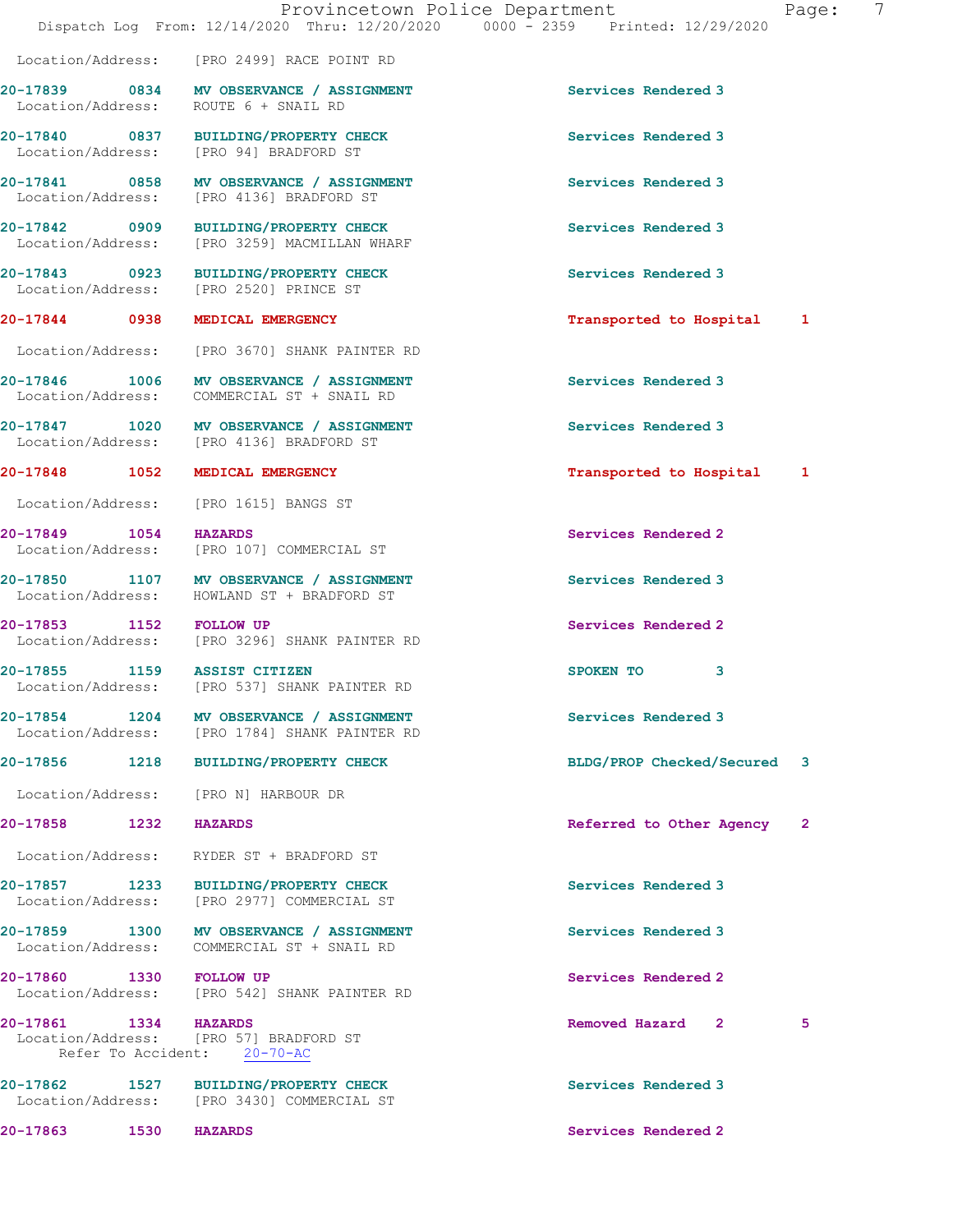|                         | Provincetown Police Department<br>Dispatch Log From: 12/14/2020 Thru: 12/20/2020 0000 - 2359 Printed: 12/29/2020 |                             | $\overline{7}$<br>Page: |
|-------------------------|------------------------------------------------------------------------------------------------------------------|-----------------------------|-------------------------|
|                         | Location/Address: [PRO 2499] RACE POINT RD                                                                       |                             |                         |
|                         | 20-17839 0834 MV OBSERVANCE / ASSIGNMENT<br>Location/Address: ROUTE 6 + SNAIL RD                                 | Services Rendered 3         |                         |
|                         | 20-17840 0837 BUILDING/PROPERTY CHECK<br>Location/Address: [PRO 94] BRADFORD ST                                  | Services Rendered 3         |                         |
|                         | 20-17841 0858 MV OBSERVANCE / ASSIGNMENT<br>Location/Address: [PRO 4136] BRADFORD ST                             | Services Rendered 3         |                         |
|                         | 20-17842 0909 BUILDING/PROPERTY CHECK<br>Location/Address: [PRO 3259] MACMILLAN WHARF                            | Services Rendered 3         |                         |
|                         | 20-17843 0923 BUILDING/PROPERTY CHECK<br>Location/Address: [PRO 2520] PRINCE ST                                  | Services Rendered 3         |                         |
|                         | 20-17844 0938 MEDICAL EMERGENCY                                                                                  | Transported to Hospital 1   |                         |
|                         | Location/Address: [PRO 3670] SHANK PAINTER RD                                                                    |                             |                         |
|                         | 20-17846 1006 MV OBSERVANCE / ASSIGNMENT<br>Location/Address: COMMERCIAL ST + SNAIL RD                           | Services Rendered 3         |                         |
|                         | 20-17847 1020 MV OBSERVANCE / ASSIGNMENT<br>Location/Address: [PRO 4136] BRADFORD ST                             | Services Rendered 3         |                         |
|                         | 20-17848 1052 MEDICAL EMERGENCY                                                                                  | Transported to Hospital 1   |                         |
|                         | Location/Address: [PRO 1615] BANGS ST                                                                            |                             |                         |
| 20-17849 1054 HAZARDS   | Location/Address: [PRO 107] COMMERCIAL ST                                                                        | Services Rendered 2         |                         |
|                         | 20-17850 1107 MV OBSERVANCE / ASSIGNMENT<br>Location/Address: HOWLAND ST + BRADFORD ST                           | Services Rendered 3         |                         |
|                         | 20-17853 1152 FOLLOW UP<br>Location/Address: [PRO 3296] SHANK PAINTER RD                                         | Services Rendered 2         |                         |
|                         | 20-17855 1159 ASSIST CITIZEN<br>Location/Address: [PRO 537] SHANK PAINTER RD                                     | SPOKEN TO<br>3              |                         |
|                         | 20-17854 1204 MV OBSERVANCE / ASSIGNMENT<br>Location/Address: [PRO 1784] SHANK PAINTER RD                        | Services Rendered 3         |                         |
|                         | 20-17856 1218 BUILDING/PROPERTY CHECK                                                                            | BLDG/PROP Checked/Secured 3 |                         |
|                         | Location/Address: [PRO N] HARBOUR DR                                                                             |                             |                         |
| 20-17858 1232           | <b>HAZARDS</b>                                                                                                   | Referred to Other Agency    | $\mathbf{2}$            |
|                         | Location/Address: RYDER ST + BRADFORD ST                                                                         |                             |                         |
|                         | 20-17857 1233 BUILDING/PROPERTY CHECK<br>Location/Address: [PRO 2977] COMMERCIAL ST                              | Services Rendered 3         |                         |
| Location/Address:       | 20-17859 1300 MV OBSERVANCE / ASSIGNMENT<br>COMMERCIAL ST + SNAIL RD                                             | Services Rendered 3         |                         |
| 20-17860 1330 FOLLOW UP | Location/Address: [PRO 542] SHANK PAINTER RD                                                                     | Services Rendered 2         |                         |
| 20-17861 1334 HAZARDS   | Location/Address: [PRO 57] BRADFORD ST<br>Refer To Accident: 20-70-AC                                            | Removed Hazard 2            | 5                       |
|                         | 20-17862 1527 BUILDING/PROPERTY CHECK<br>Location/Address: [PRO 3430] COMMERCIAL ST                              | Services Rendered 3         |                         |
|                         |                                                                                                                  |                             |                         |

**20-17863** 1530 HAZARDS **1530 Services Rendered 2**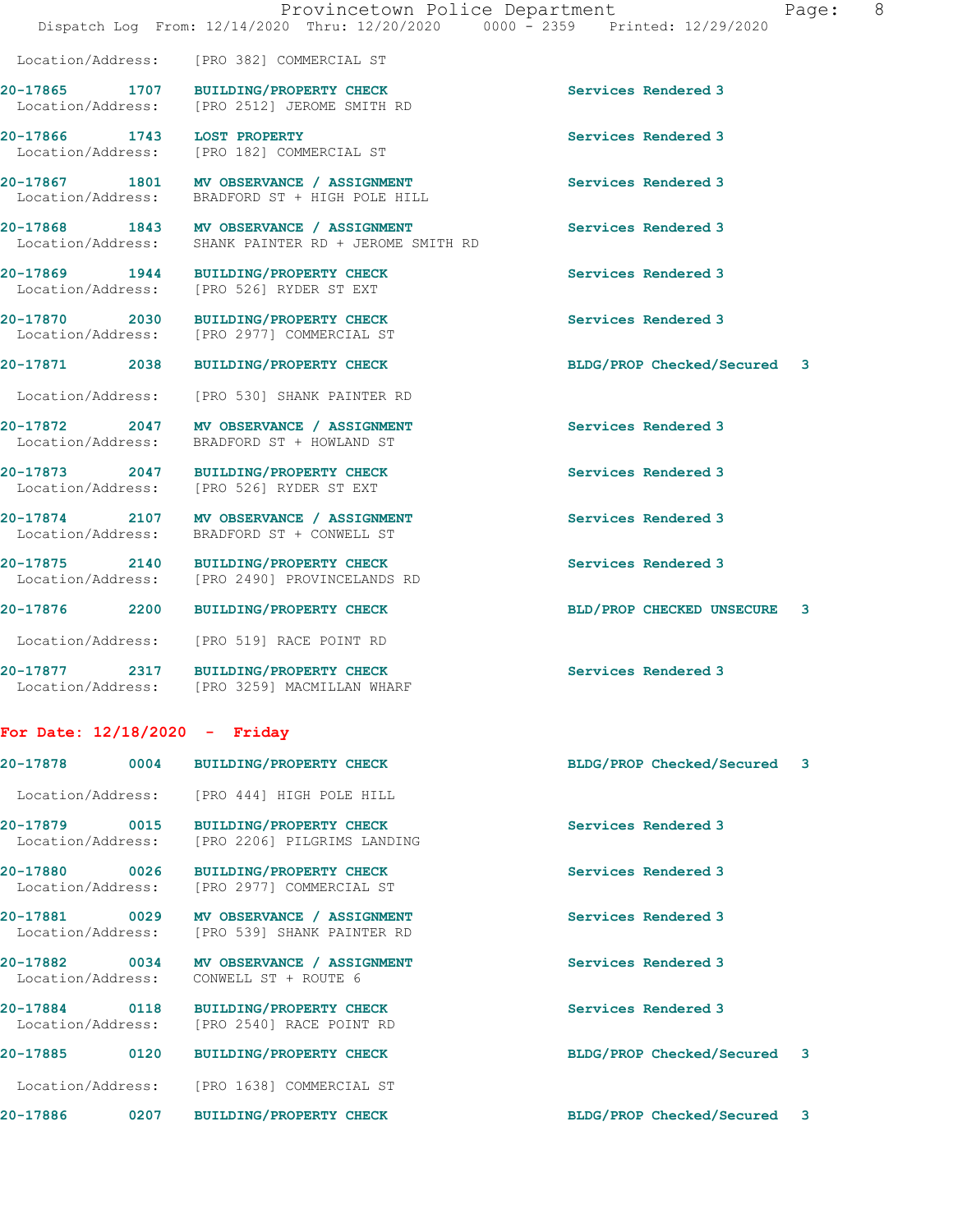|                                    |      | Provincetown Police Department<br>Dispatch Log From: 12/14/2020 Thru: 12/20/2020 0000 - 2359 Printed: 12/29/2020 |                             | 8<br>Page: |
|------------------------------------|------|------------------------------------------------------------------------------------------------------------------|-----------------------------|------------|
| Location/Address:                  |      | [PRO 382] COMMERCIAL ST                                                                                          |                             |            |
| 20-17865 1707<br>Location/Address: |      | BUILDING/PROPERTY CHECK<br>[PRO 2512] JEROME SMITH RD                                                            | Services Rendered 3         |            |
| Location/Address:                  |      | 20-17866 1743 LOST PROPERTY<br>[PRO 182] COMMERCIAL ST                                                           | Services Rendered 3         |            |
| Location/Address:                  |      | 20-17867 1801 MV OBSERVANCE / ASSIGNMENT<br>BRADFORD ST + HIGH POLE HILL                                         | Services Rendered 3         |            |
|                                    |      | 20-17868 1843 MV OBSERVANCE / ASSIGNMENT<br>Location/Address: SHANK PAINTER RD + JEROME SMITH RD                 | Services Rendered 3         |            |
| Location/Address:                  |      | 20-17869 1944 BUILDING/PROPERTY CHECK<br>[PRO 526] RYDER ST EXT                                                  | Services Rendered 3         |            |
|                                    |      | 20-17870 2030 BUILDING/PROPERTY CHECK<br>Location/Address: [PRO 2977] COMMERCIAL ST                              | Services Rendered 3         |            |
| 20-17871 2038                      |      | BUILDING/PROPERTY CHECK                                                                                          | BLDG/PROP Checked/Secured 3 |            |
| Location/Address:                  |      | [PRO 530] SHANK PAINTER RD                                                                                       |                             |            |
| Location/Address:                  |      | 20-17872 2047 MV OBSERVANCE / ASSIGNMENT<br>BRADFORD ST + HOWLAND ST                                             | Services Rendered 3         |            |
| Location/Address:                  |      | 20-17873 2047 BUILDING/PROPERTY CHECK<br>[PRO 526] RYDER ST EXT                                                  | Services Rendered 3         |            |
| Location/Address:                  |      | 20-17874 2107 MV OBSERVANCE / ASSIGNMENT<br>BRADFORD ST + CONWELL ST                                             | Services Rendered 3         |            |
| 20-17875 2140                      |      | <b>BUILDING/PROPERTY CHECK</b><br>Location/Address: [PRO 2490] PROVINCELANDS RD                                  | Services Rendered 3         |            |
| 20-17876 2200                      |      | <b>BUILDING/PROPERTY CHECK</b>                                                                                   | BLD/PROP CHECKED UNSECURE   | 3          |
| Location/Address:                  |      | [PRO 519] RACE POINT RD                                                                                          |                             |            |
|                                    |      | 20-17877 2317 BUILDING/PROPERTY CHECK<br>Location/Address: [PRO 3259] MACMILLAN WHARF                            | Services Rendered 3         |            |
| For Date: $12/18/2020$ - Friday    |      |                                                                                                                  |                             |            |
| 20-17878                           | 0004 | BUILDING/PROPERTY CHECK                                                                                          | BLDG/PROP Checked/Secured   | 3          |
| Location/Address:                  |      | [PRO 444] HIGH POLE HILL                                                                                         |                             |            |
| 20-17879 0015<br>Location/Address: |      | <b>BUILDING/PROPERTY CHECK</b><br>[PRO 2206] PILGRIMS LANDING                                                    | Services Rendered 3         |            |
| 20-17880 0026                      |      | <b>BUILDING/PROPERTY CHECK</b><br>Location/Address: [PRO 2977] COMMERCIAL ST                                     | Services Rendered 3         |            |
| 20-17881 0029<br>Location/Address: |      | MV OBSERVANCE / ASSIGNMENT<br>[PRO 539] SHANK PAINTER RD                                                         | Services Rendered 3         |            |
| 20-17882 0034<br>Location/Address: |      | MV OBSERVANCE / ASSIGNMENT<br>CONWELL ST + ROUTE 6                                                               | Services Rendered 3         |            |
| 20-17884 0118<br>Location/Address: |      | BUILDING/PROPERTY CHECK<br>[PRO 2540] RACE POINT RD                                                              | Services Rendered 3         |            |
| 20-17885                           | 0120 | <b>BUILDING/PROPERTY CHECK</b>                                                                                   | BLDG/PROP Checked/Secured 3 |            |
| Location/Address:                  |      | [PRO 1638] COMMERCIAL ST                                                                                         |                             |            |

**20-17886 0207 BUILDING/PROPERTY CHECK BLDG/PROP Checked/Secured 3**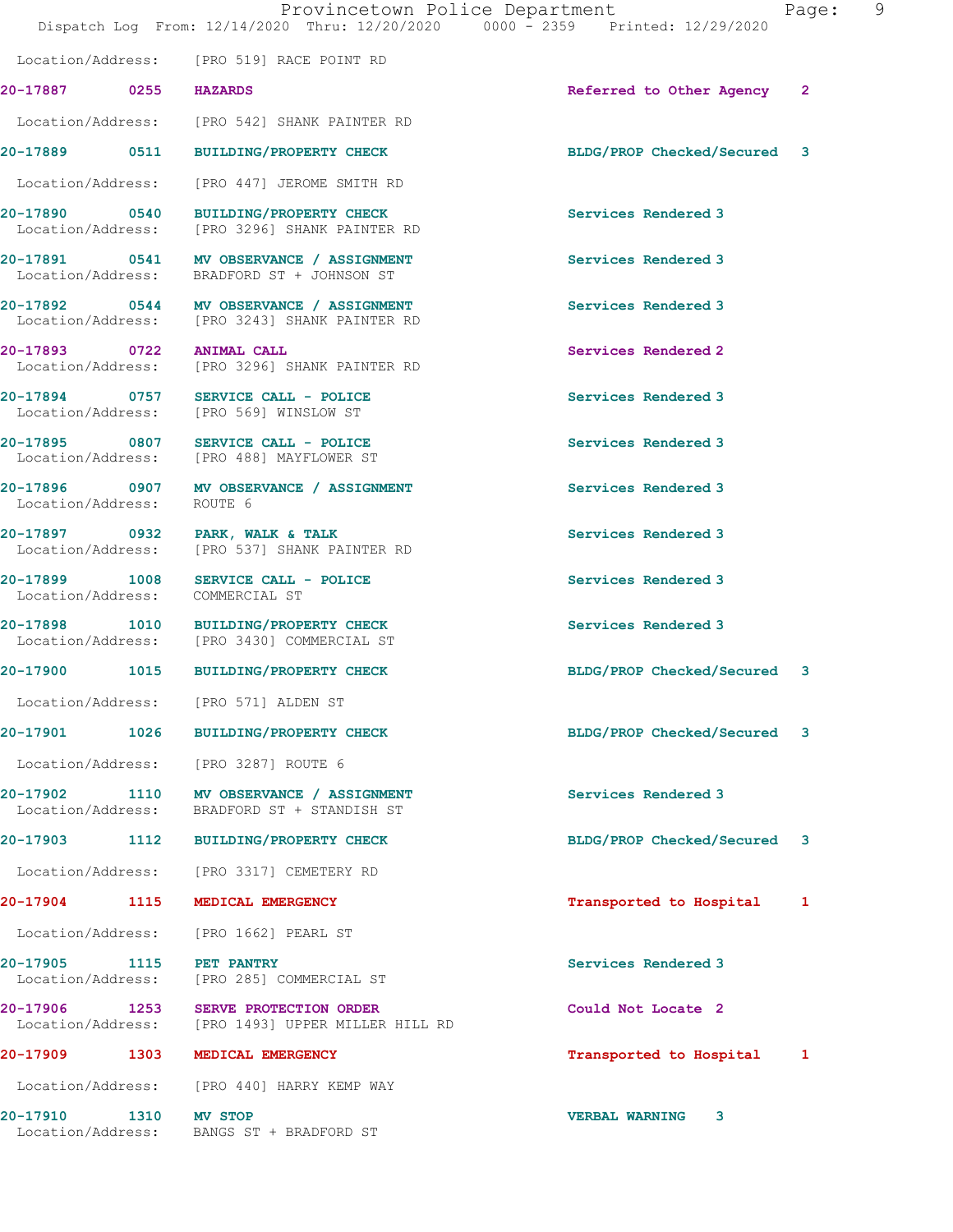|                                 |      | Provincetown Police Department<br>Dispatch Log From: 12/14/2020 Thru: 12/20/2020 0000 - 2359 Printed: 12/29/2020 |                             | 9<br>Page: |  |
|---------------------------------|------|------------------------------------------------------------------------------------------------------------------|-----------------------------|------------|--|
|                                 |      | Location/Address: [PRO 519] RACE POINT RD                                                                        |                             |            |  |
| 20-17887 0255 HAZARDS           |      |                                                                                                                  | Referred to Other Agency 2  |            |  |
|                                 |      | Location/Address: [PRO 542] SHANK PAINTER RD                                                                     |                             |            |  |
|                                 |      | 20-17889 0511 BUILDING/PROPERTY CHECK                                                                            | BLDG/PROP Checked/Secured 3 |            |  |
|                                 |      | Location/Address: [PRO 447] JEROME SMITH RD                                                                      |                             |            |  |
|                                 |      | 20-17890 0540 BUILDING/PROPERTY CHECK<br>Location/Address: [PRO 3296] SHANK PAINTER RD                           | Services Rendered 3         |            |  |
|                                 |      | 20-17891 0541 MV OBSERVANCE / ASSIGNMENT<br>Location/Address: BRADFORD ST + JOHNSON ST                           | Services Rendered 3         |            |  |
|                                 |      | 20-17892 0544 MV OBSERVANCE / ASSIGNMENT<br>Location/Address: [PRO 3243] SHANK PAINTER RD                        | Services Rendered 3         |            |  |
| 20-17893 0722 ANIMAL CALL       |      | Location/Address: [PRO 3296] SHANK PAINTER RD                                                                    | Services Rendered 2         |            |  |
|                                 |      | 20-17894 0757 SERVICE CALL - POLICE<br>Location/Address: [PRO 569] WINSLOW ST                                    | Services Rendered 3         |            |  |
|                                 |      | 20-17895 0807 SERVICE CALL - POLICE<br>Location/Address: [PRO 488] MAYFLOWER ST                                  | Services Rendered 3         |            |  |
| Location/Address:               |      | 20-17896 0907 MV OBSERVANCE / ASSIGNMENT<br>ROUTE 6                                                              | Services Rendered 3         |            |  |
|                                 |      | 20-17897 0932 PARK, WALK & TALK<br>Location/Address: [PRO 537] SHANK PAINTER RD                                  | Services Rendered 3         |            |  |
| Location/Address: COMMERCIAL ST |      | 20-17899 1008 SERVICE CALL - POLICE                                                                              | Services Rendered 3         |            |  |
|                                 |      | 20-17898 1010 BUILDING/PROPERTY CHECK<br>Location/Address: [PRO 3430] COMMERCIAL ST                              | Services Rendered 3         |            |  |
|                                 |      | 20-17900 1015 BUILDING/PROPERTY CHECK                                                                            | BLDG/PROP Checked/Secured 3 |            |  |
|                                 |      | Location/Address: [PRO 571] ALDEN ST                                                                             |                             |            |  |
|                                 |      | 20-17901 1026 BUILDING/PROPERTY CHECK                                                                            | BLDG/PROP Checked/Secured 3 |            |  |
|                                 |      | Location/Address: [PRO 3287] ROUTE 6                                                                             |                             |            |  |
| Location/Address:               |      | 20-17902 1110 MV OBSERVANCE / ASSIGNMENT<br>BRADFORD ST + STANDISH ST                                            | Services Rendered 3         |            |  |
|                                 |      | 20-17903 1112 BUILDING/PROPERTY CHECK                                                                            | BLDG/PROP Checked/Secured 3 |            |  |
|                                 |      | Location/Address: [PRO 3317] CEMETERY RD                                                                         |                             |            |  |
| 20-17904 1115                   |      | MEDICAL EMERGENCY                                                                                                | Transported to Hospital     | 1          |  |
| Location/Address:               |      | [PRO 1662] PEARL ST                                                                                              |                             |            |  |
| 20-17905 1115 PET PANTRY        |      | Location/Address: [PRO 285] COMMERCIAL ST                                                                        | Services Rendered 3         |            |  |
| 20-17906 1253                   |      | SERVE PROTECTION ORDER<br>Location/Address: [PRO 1493] UPPER MILLER HILL RD                                      | Could Not Locate 2          |            |  |
| 20-17909                        | 1303 | MEDICAL EMERGENCY                                                                                                | Transported to Hospital 1   |            |  |
|                                 |      | Location/Address: [PRO 440] HARRY KEMP WAY                                                                       |                             |            |  |
| 20-17910 1310                   |      | MV STOP<br>Location/Address: BANGS ST + BRADFORD ST                                                              | <b>VERBAL WARNING</b><br>3  |            |  |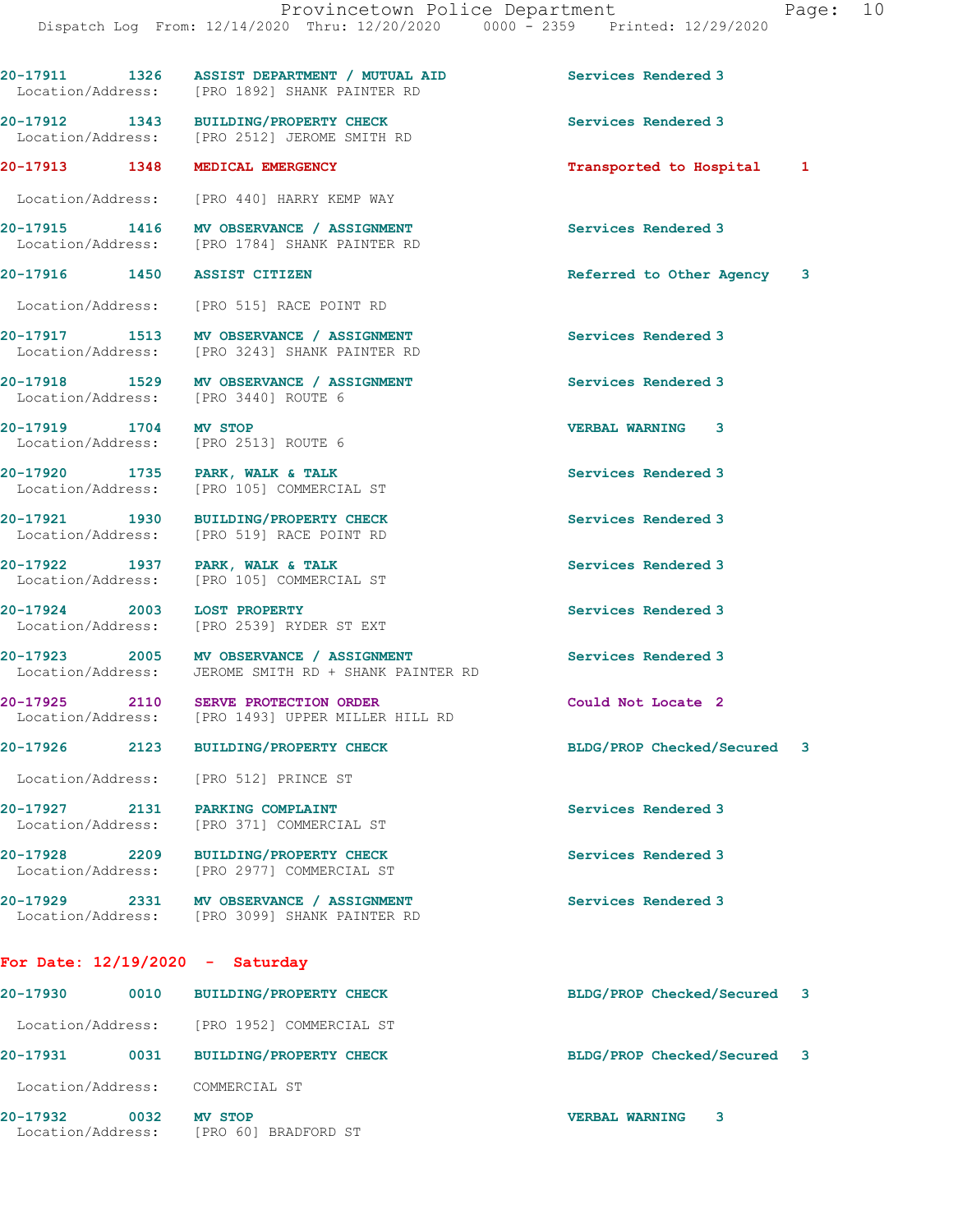**20-17911 1326 ASSIST DEPARTMENT / MUTUAL AID Services Rendered 3**  Location/Address: [PRO 1892] SHANK PAINTER RD 20-17912 1343 BUILDING/PROPERTY CHECK Services Rendered 3<br>
Location/Address: [PRO 2512] JEROME SMITH RD [PRO 2512] JEROME SMITH RD **20-17913 1348 MEDICAL EMERGENCY Transported to Hospital 1** Location/Address: [PRO 440] HARRY KEMP WAY **20-17915 1416 MV OBSERVANCE / ASSIGNMENT Services Rendered 3 Increment Conducts:** [PRO 1784] SHANK PAINTER RD [PRO 1784] SHANK PAINTER RD **20-17916 1450 ASSIST CITIZEN Referred to Other Agency 3** Location/Address: [PRO 515] RACE POINT RD **20-17917 1513 MV OBSERVANCE / ASSIGNMENT Services Rendered 3**  Location/Address: [PRO 3243] SHANK PAINTER RD **20-17918 1529 MV OBSERVANCE / ASSIGNMENT Services Rendered 3**  Location/Address: [PRO 3440] ROUTE 6 **20-17919 1704 MV STOP VERBAL WARNING 3**  Location/Address: [PRO 2513] ROUTE 6 **20-17920 1735 PARK, WALK & TALK SERVICES Rendered 3** Location/Address: [PRO 105] COMMERCIAL ST [PRO 105] COMMERCIAL ST **20-17921 1930 BUILDING/PROPERTY CHECK Services Rendered 3**  Location/Address: [PRO 519] RACE POINT RD 20-17922 1937 PARK, WALK & TALK **Services Rendered 3**  Location/Address: [PRO 105] COMMERCIAL ST **20-17924 2003 LOST PROPERTY Services Rendered 3**  Location/Address: [PRO 2539] RYDER ST EXT **20-17923** 2005 MV OBSERVANCE / ASSIGNMENT Services Rendered 3<br>
Location/Address: JEROME SMITH RD + SHANK PAINTER RD JEROME SMITH RD + SHANK PAINTER RD **20-17925 2110 SERVE PROTECTION ORDER Could Not Locate 2**  Location/Address: [PRO 1493] UPPER MILLER HILL RD **20-17926 2123 BUILDING/PROPERTY CHECK BLDG/PROP Checked/Secured 3** Location/Address: [PRO 512] PRINCE ST **20-17927 2131 PARKING COMPLAINT Services Rendered 3**  Location/Address: [PRO 371] COMMERCIAL ST **20-17928 2209 BUILDING/PROPERTY CHECK Services Rendered 3**  Location/Address: [PRO 2977] COMMERCIAL ST **20-17929 2331 MV OBSERVANCE / ASSIGNMENT Services Rendered 3**  Location/Address: [PRO 3099] SHANK PAINTER RD **For Date: 12/19/2020 - Saturday 20-17930 0010 BUILDING/PROPERTY CHECK BLDG/PROP Checked/Secured 3** Location/Address: [PRO 1952] COMMERCIAL ST **20-17931 0031 BUILDING/PROPERTY CHECK BLDG/PROP Checked/Secured 3**

Location/Address: COMMERCIAL ST

**20-17932 0032 MV STOP VERBAL WARNING 3**  Location/Address: [PRO 60] BRADFORD ST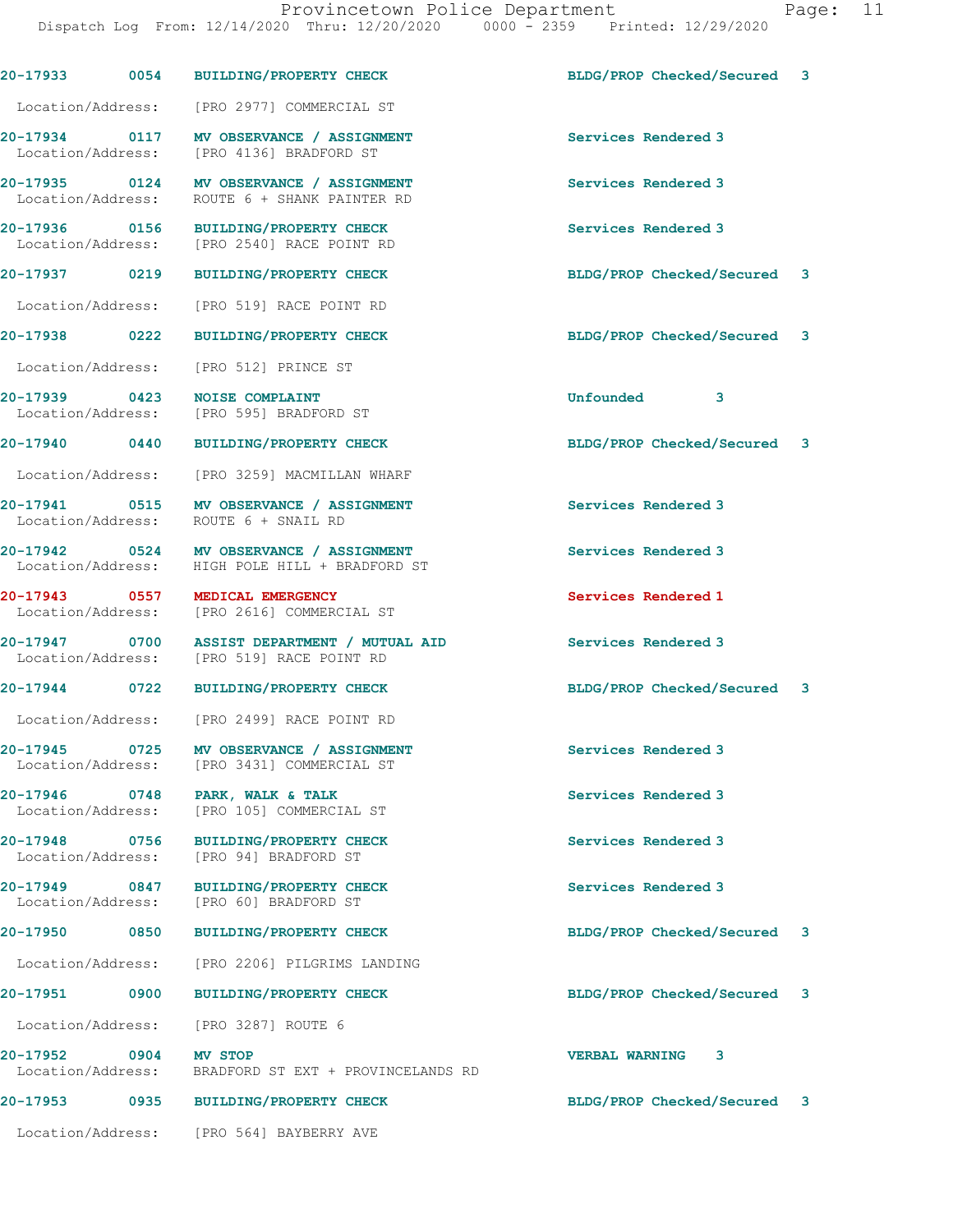|                                    |      | 20-17933 0054 BUILDING/PROPERTY CHECK                                                      | BLDG/PROP Checked/Secured 3 |   |
|------------------------------------|------|--------------------------------------------------------------------------------------------|-----------------------------|---|
|                                    |      | Location/Address: [PRO 2977] COMMERCIAL ST                                                 |                             |   |
|                                    |      | 20-17934 0117 MV OBSERVANCE / ASSIGNMENT<br>Location/Address: [PRO 4136] BRADFORD ST       | Services Rendered 3         |   |
| 20-17935 0124<br>Location/Address: |      | MV OBSERVANCE / ASSIGNMENT<br>ROUTE 6 + SHANK PAINTER RD                                   | Services Rendered 3         |   |
|                                    |      | 20-17936 0156 BUILDING/PROPERTY CHECK<br>Location/Address: [PRO 2540] RACE POINT RD        | Services Rendered 3         |   |
| 20-17937 0219                      |      | <b>BUILDING/PROPERTY CHECK</b>                                                             | BLDG/PROP Checked/Secured 3 |   |
| Location/Address:                  |      | [PRO 519] RACE POINT RD                                                                    |                             |   |
| 20-17938 0222                      |      | <b>BUILDING/PROPERTY CHECK</b>                                                             | BLDG/PROP Checked/Secured 3 |   |
| Location/Address:                  |      | [PRO 512] PRINCE ST                                                                        |                             |   |
|                                    |      | 20-17939 0423 NOISE COMPLAINT<br>Location/Address: [PRO 595] BRADFORD ST                   | Unfounded<br>3              |   |
| 20-17940 0440                      |      | <b>BUILDING/PROPERTY CHECK</b>                                                             | BLDG/PROP Checked/Secured 3 |   |
|                                    |      | Location/Address: [PRO 3259] MACMILLAN WHARF                                               |                             |   |
|                                    |      | 20-17941 0515 MV OBSERVANCE / ASSIGNMENT<br>Location/Address: ROUTE 6 + SNAIL RD           | Services Rendered 3         |   |
|                                    |      | 20-17942 0524 MV OBSERVANCE / ASSIGNMENT<br>Location/Address: HIGH POLE HILL + BRADFORD ST | Services Rendered 3         |   |
|                                    |      | 20-17943 0557 MEDICAL EMERGENCY<br>Location/Address: [PRO 2616] COMMERCIAL ST              | Services Rendered 1         |   |
| 20-17947 0700<br>Location/Address: |      | ASSIST DEPARTMENT / MUTUAL AID<br>[PRO 519] RACE POINT RD                                  | Services Rendered 3         |   |
| 20-17944 0722                      |      | <b>BUILDING/PROPERTY CHECK</b>                                                             | BLDG/PROP Checked/Secured 3 |   |
|                                    |      | Location/Address: [PRO 2499] RACE POINT RD                                                 |                             |   |
| 20-17945 0725<br>Location/Address: |      | MV OBSERVANCE / ASSIGNMENT<br>[PRO 3431] COMMERCIAL ST                                     | Services Rendered 3         |   |
| $20 - 17946$<br>Location/Address:  | 0748 | PARK, WALK & TALK<br>[PRO 105] COMMERCIAL ST                                               | Services Rendered 3         |   |
| 20-17948 0756<br>Location/Address: |      | BUILDING/PROPERTY CHECK<br>[PRO 94] BRADFORD ST                                            | Services Rendered 3         |   |
| 20-17949 0847<br>Location/Address: |      | <b>BUILDING/PROPERTY CHECK</b><br>[PRO 60] BRADFORD ST                                     | Services Rendered 3         |   |
| <b>20-17950</b>                    | 0850 | <b>BUILDING/PROPERTY CHECK</b>                                                             | BLDG/PROP Checked/Secured   | 3 |
| Location/Address:                  |      | [PRO 2206] PILGRIMS LANDING                                                                |                             |   |
| 20-17951                           | 0900 | <b>BUILDING/PROPERTY CHECK</b>                                                             | BLDG/PROP Checked/Secured 3 |   |
| Location/Address:                  |      | [PRO 3287] ROUTE 6                                                                         |                             |   |
| 20-17952<br>Location/Address:      | 0904 | <b>MV STOP</b><br>BRADFORD ST EXT + PROVINCELANDS RD                                       | <b>VERBAL WARNING</b><br>3  |   |
| 20-17953                           | 0935 | <b>BUILDING/PROPERTY CHECK</b>                                                             | BLDG/PROP Checked/Secured 3 |   |

Location/Address: [PRO 564] BAYBERRY AVE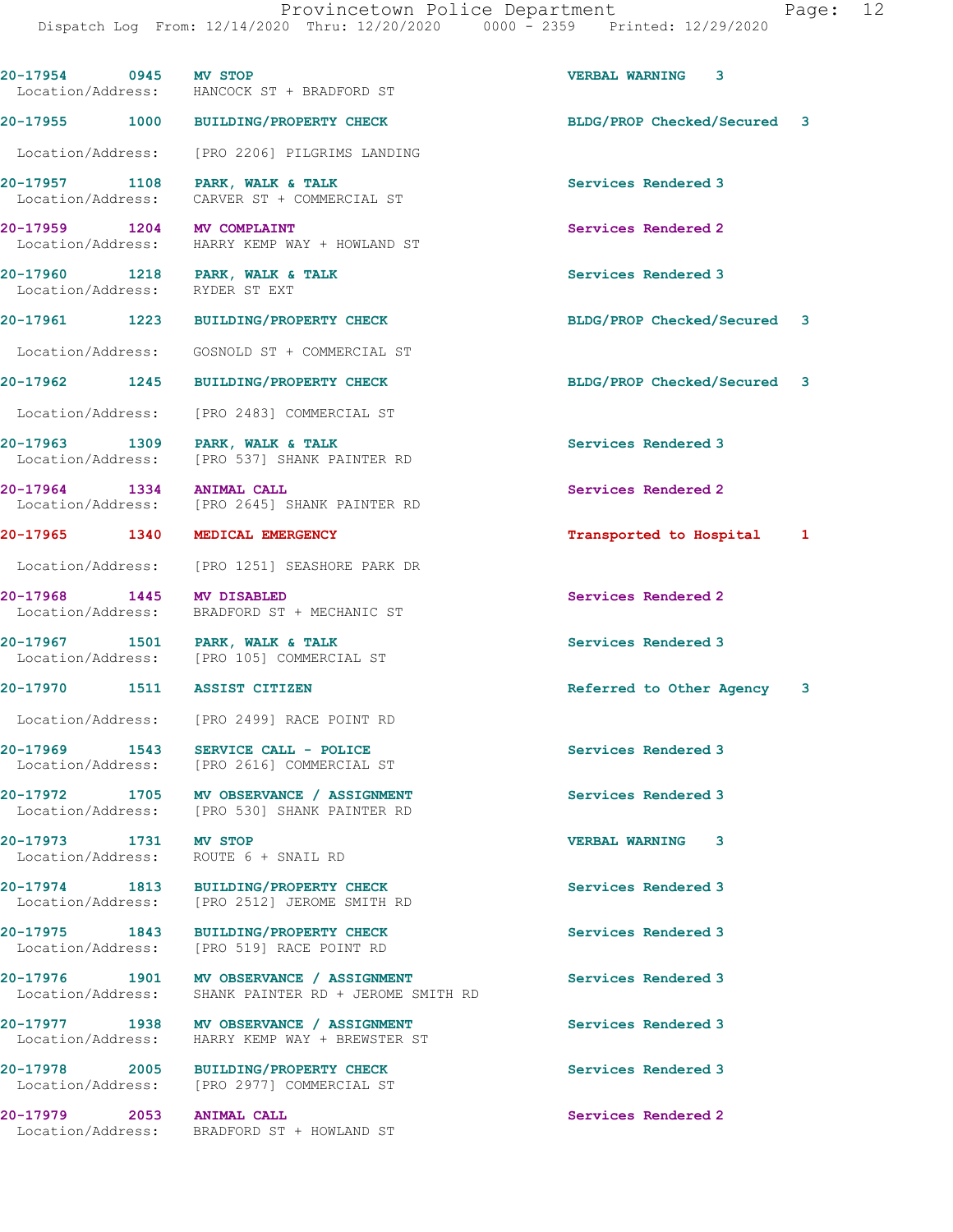| 20-17954 0945 MV STOP                                             | Location/Address: HANCOCK ST + BRADFORD ST                                                       | VERBAL WARNING 3             |  |
|-------------------------------------------------------------------|--------------------------------------------------------------------------------------------------|------------------------------|--|
|                                                                   | 20-17955 1000 BUILDING/PROPERTY CHECK                                                            | BLDG/PROP Checked/Secured 3  |  |
|                                                                   | Location/Address: [PRO 2206] PILGRIMS LANDING                                                    |                              |  |
| 20-17957 1108 PARK, WALK & TALK                                   | Location/Address: CARVER ST + COMMERCIAL ST                                                      | Services Rendered 3          |  |
| 20-17959 1204 MV COMPLAINT                                        | Location/Address: HARRY KEMP WAY + HOWLAND ST                                                    | Services Rendered 2          |  |
| 20-17960 1218 PARK, WALK & TALK<br>Location/Address: RYDER ST EXT |                                                                                                  | Services Rendered 3          |  |
|                                                                   | 20-17961 1223 BUILDING/PROPERTY CHECK                                                            | BLDG/PROP Checked/Secured 3  |  |
|                                                                   | Location/Address: GOSNOLD ST + COMMERCIAL ST                                                     |                              |  |
| 20-17962 1245                                                     | <b>BUILDING/PROPERTY CHECK</b>                                                                   | BLDG/PROP Checked/Secured 3  |  |
|                                                                   | Location/Address: [PRO 2483] COMMERCIAL ST                                                       |                              |  |
| 20-17963 1309 PARK, WALK & TALK                                   | Location/Address: [PRO 537] SHANK PAINTER RD                                                     | Services Rendered 3          |  |
| 20-17964 1334                                                     | <b>ANIMAL CALL</b><br>Location/Address: [PRO 2645] SHANK PAINTER RD                              | Services Rendered 2          |  |
| 20-17965 1340 MEDICAL EMERGENCY                                   |                                                                                                  | Transported to Hospital<br>1 |  |
|                                                                   | Location/Address: [PRO 1251] SEASHORE PARK DR                                                    |                              |  |
| 20-17968 1445 MV DISABLED                                         | Location/Address: BRADFORD ST + MECHANIC ST                                                      | Services Rendered 2          |  |
| 20-17967 1501 PARK, WALK & TALK                                   | Location/Address: [PRO 105] COMMERCIAL ST                                                        | Services Rendered 3          |  |
| 20-17970 1511 ASSIST CITIZEN                                      |                                                                                                  | Referred to Other Agency 3   |  |
|                                                                   | Location/Address: [PRO 2499] RACE POINT RD                                                       |                              |  |
| Location/Address:                                                 | 20-17969 1543 SERVICE CALL - POLICE<br>[PRO 2616] COMMERCIAL ST                                  | Services Rendered 3          |  |
|                                                                   | 20-17972 1705 MV OBSERVANCE / ASSIGNMENT<br>Location/Address: [PRO 530] SHANK PAINTER RD         | Services Rendered 3          |  |
| 20-17973 1731 MV STOP<br>Location/Address: ROUTE 6 + SNAIL RD     |                                                                                                  | VERBAL WARNING 3             |  |
|                                                                   | 20-17974 1813 BUILDING/PROPERTY CHECK<br>Location/Address: [PRO 2512] JEROME SMITH RD            | Services Rendered 3          |  |
| Location/Address:                                                 | 20-17975 1843 BUILDING/PROPERTY CHECK<br>[PRO 519] RACE POINT RD                                 | Services Rendered 3          |  |
|                                                                   | 20-17976 1901 MV OBSERVANCE / ASSIGNMENT<br>Location/Address: SHANK PAINTER RD + JEROME SMITH RD | Services Rendered 3          |  |
|                                                                   | 20-17977 1938 MV OBSERVANCE / ASSIGNMENT<br>Location/Address: HARRY KEMP WAY + BREWSTER ST       | Services Rendered 3          |  |
|                                                                   | 20-17978 2005 BUILDING/PROPERTY CHECK<br>Location/Address: [PRO 2977] COMMERCIAL ST              | Services Rendered 3          |  |
|                                                                   |                                                                                                  |                              |  |

**20-17979 2053 ANIMAL CALL Services Rendered 2**  Location/Address: BRADFORD ST + HOWLAND ST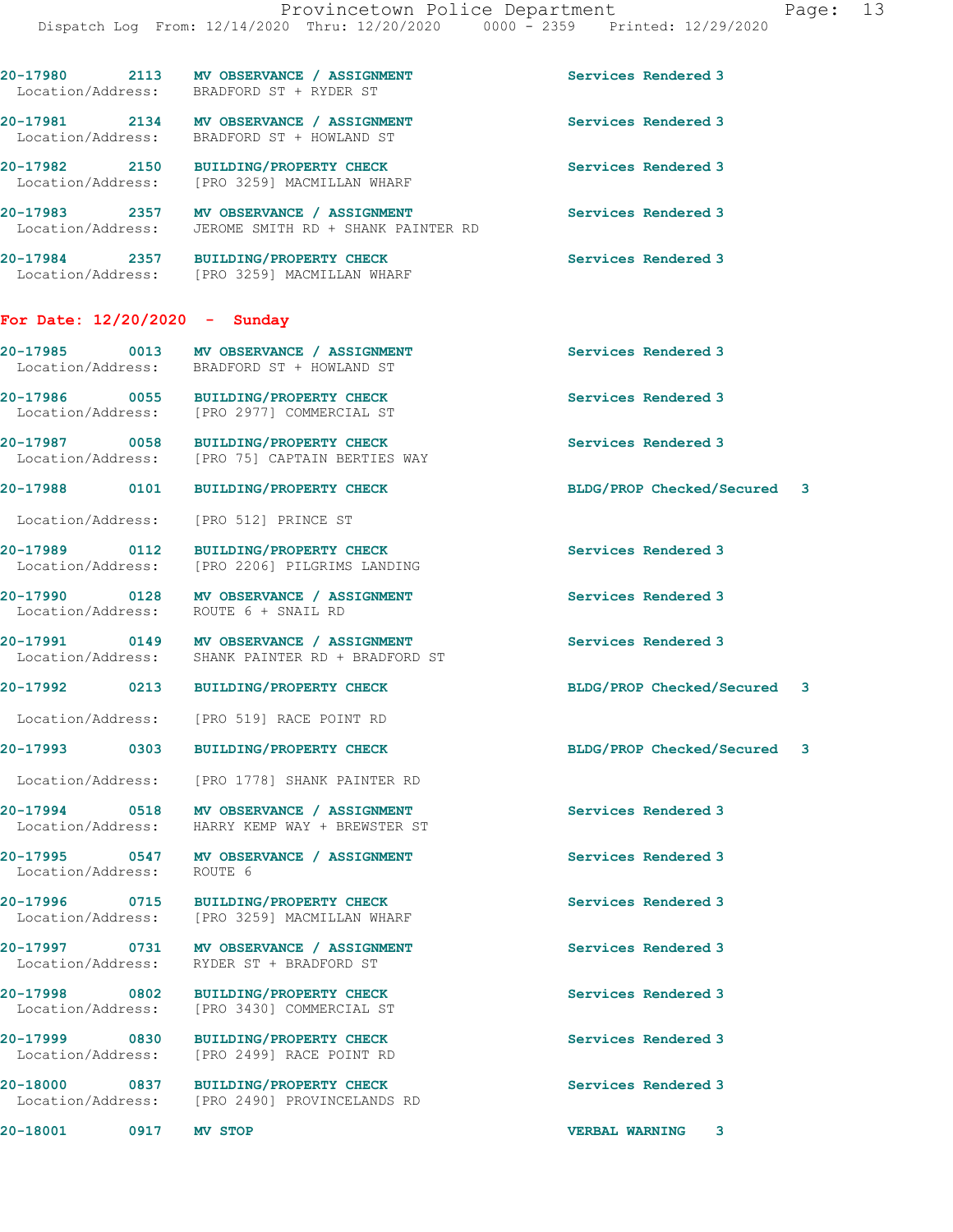|                                 | 20-17980 2113 MV OBSERVANCE / ASSIGNMENT<br>Location/Address: BRADFORD ST + RYDER ST             | Services Rendered 3         |  |
|---------------------------------|--------------------------------------------------------------------------------------------------|-----------------------------|--|
|                                 | 20-17981 2134 MV OBSERVANCE / ASSIGNMENT<br>Location/Address: BRADFORD ST + HOWLAND ST           | Services Rendered 3         |  |
|                                 | 20-17982 2150 BUILDING/PROPERTY CHECK<br>Location/Address: [PRO 3259] MACMILLAN WHARF            | Services Rendered 3         |  |
|                                 | 20-17983 2357 MV OBSERVANCE / ASSIGNMENT<br>Location/Address: JEROME SMITH RD + SHANK PAINTER RD | Services Rendered 3         |  |
|                                 | 20-17984 2357 BUILDING/PROPERTY CHECK<br>Location/Address: [PRO 3259] MACMILLAN WHARF            | Services Rendered 3         |  |
| For Date: $12/20/2020 -$ Sunday |                                                                                                  |                             |  |
|                                 | 20-17985 0013 MV OBSERVANCE / ASSIGNMENT<br>Location/Address: BRADFORD ST + HOWLAND ST           | Services Rendered 3         |  |
|                                 | 20-17986 0055 BUILDING/PROPERTY CHECK<br>Location/Address: [PRO 2977] COMMERCIAL ST              | Services Rendered 3         |  |
|                                 | 20-17987 0058 BUILDING/PROPERTY CHECK<br>Location/Address: [PRO 75] CAPTAIN BERTIES WAY          | Services Rendered 3         |  |
|                                 | 20-17988 0101 BUILDING/PROPERTY CHECK                                                            | BLDG/PROP Checked/Secured 3 |  |
|                                 | Location/Address: [PRO 512] PRINCE ST                                                            |                             |  |
|                                 | 20-17989 0112 BUILDING/PROPERTY CHECK<br>Location/Address: [PRO 2206] PILGRIMS LANDING           | Services Rendered 3         |  |
|                                 | 20-17990 0128 MV OBSERVANCE / ASSIGNMENT<br>Location/Address: ROUTE 6 + SNAIL RD                 | Services Rendered 3         |  |
|                                 | 20-17991 0149 MV OBSERVANCE / ASSIGNMENT<br>Location/Address: SHANK PAINTER RD + BRADFORD ST     | Services Rendered 3         |  |
|                                 | 20-17992 0213 BUILDING/PROPERTY CHECK                                                            | BLDG/PROP Checked/Secured 3 |  |
|                                 | Location/Address: [PRO 519] RACE POINT RD                                                        |                             |  |
|                                 | 20-17993 0303 BUILDING/PROPERTY CHECK                                                            | BLDG/PROP Checked/Secured 3 |  |
|                                 | Location/Address: [PRO 1778] SHANK PAINTER RD                                                    |                             |  |
|                                 | 20-17994 0518 MV OBSERVANCE / ASSIGNMENT<br>Location/Address: HARRY KEMP WAY + BREWSTER ST       | Services Rendered 3         |  |
| Location/Address: ROUTE 6       | 20-17995 0547 MV OBSERVANCE / ASSIGNMENT                                                         | Services Rendered 3         |  |
|                                 | 20-17996 0715 BUILDING/PROPERTY CHECK<br>Location/Address: [PRO 3259] MACMILLAN WHARF            | Services Rendered 3         |  |
|                                 | 20-17997 0731 MV OBSERVANCE / ASSIGNMENT<br>Location/Address: RYDER ST + BRADFORD ST             | Services Rendered 3         |  |
|                                 | 20-17998 0802 BUILDING/PROPERTY CHECK<br>Location/Address: [PRO 3430] COMMERCIAL ST              | Services Rendered 3         |  |
|                                 | 20-17999 0830 BUILDING/PROPERTY CHECK<br>Location/Address: [PRO 2499] RACE POINT RD              | Services Rendered 3         |  |
|                                 | 20-18000 0837 BUILDING/PROPERTY CHECK<br>Location/Address: [PRO 2490] PROVINCELANDS RD           | Services Rendered 3         |  |
| 20-18001 0917                   | MV STOP                                                                                          | <b>VERBAL WARNING</b><br>3  |  |